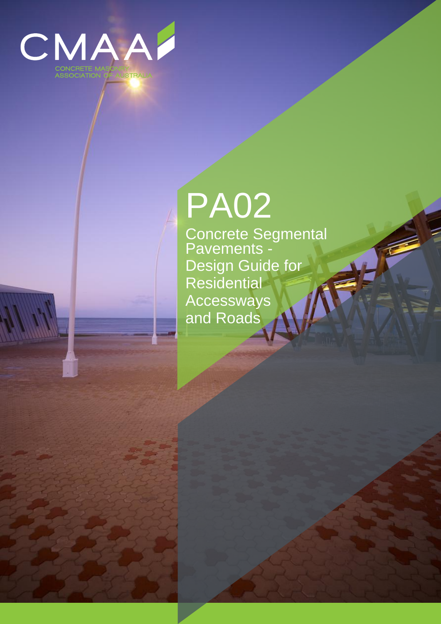

# PA02

Concrete Segmental Pavements - Design Guide for **Residential Accessways** and Roads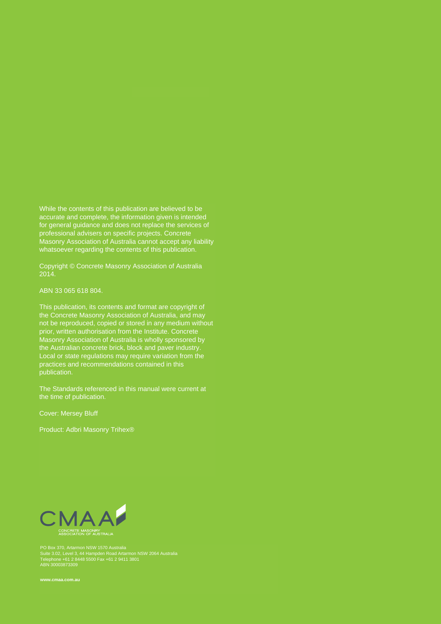While the contents of this publication are believed to be accurate and complete, the information given is intended for general guidance and does not replace the services of professional advisers on specific projects. Concrete Masonry Association of Australia cannot accept any liability whatsoever regarding the contents of this publication.

Copyright © Concrete Masonry Association of Australia 2014.

ABN 33 065 618 804.

This publication, its contents and format are copyright of the Concrete Masonry Association of Australia, and may not be reproduced, copied or stored in any medium without prior, written authorisation from the Institute. Concrete Masonry Association of Australia is wholly sponsored by the Australian concrete brick, block and paver industry. Local or state regulations may require variation from the practices and recommendations contained in this publication.

The Standards referenced in this manual were current at the time of publication.

Cover: Mersey Bluff

Product: Adbri Masonry Trihex®



PO Box 370, Artarmon NSW 1570 Australia Suite 3.02, Level 3, 44 Hampden Road Artarmon NSW 2064 Australia Telephone +61 2 8448 5500 Fax +61 2 9411 3801 ABN 30003873309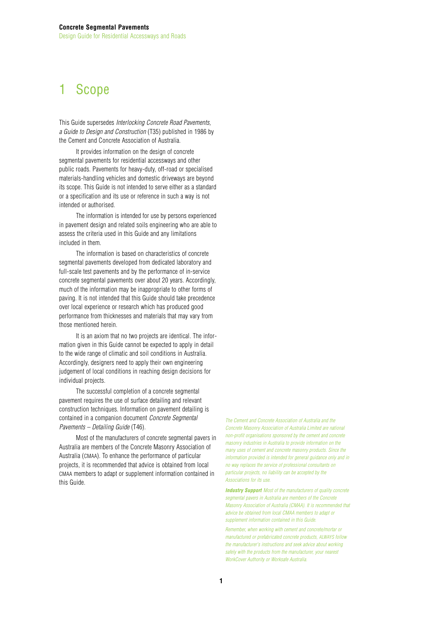# 1 Scope

This Guide supersedes *Interlocking Concrete Road Pavements, a Guide to Design and Construction* (T35) published in 1986 by the Cement and Concrete Association of Australia.

It provides information on the design of concrete segmental pavements for residential accessways and other public roads. Pavements for heavy-duty, off-road or specialised materials-handling vehicles and domestic driveways are beyond its scope. This Guide is not intended to serve either as a standard or a specification and its use or reference in such a way is not intended or authorised.

The information is intended for use by persons experienced in pavement design and related soils engineering who are able to assess the criteria used in this Guide and any limitations included in them.

The information is based on characteristics of concrete segmental pavements developed from dedicated laboratory and full-scale test pavements and by the performance of in-service concrete segmental pavements over about 20 years. Accordingly, much of the information may be inappropriate to other forms of paving. It is not intended that this Guide should take precedence over local experience or research which has produced good performance from thicknesses and materials that may vary from those mentioned herein.

It is an axiom that no two projects are identical. The information given in this Guide cannot be expected to apply in detail to the wide range of climatic and soil conditions in Australia. Accordingly, designers need to apply their own engineering judgement of local conditions in reaching design decisions for individual projects.

The successful completion of a concrete segmental pavement requires the use of surface detailing and relevant construction techniques. Information on pavement detailing is contained in a companion document *Concrete Segmental Pavements – Detailing Guide* (T46)*.*

Most of the manufacturers of concrete segmental pavers in Australia are members of the Concrete Masonry Association of Australia (CMAA). To enhance the performance of particular projects, it is recommended that advice is obtained from local CMAA members to adapt or supplement information contained in this Guide.

*The Cement and Concrete Association of Australia and the Concrete Masonry Association of Australia Limited are national non-profit organisations sponsored by the cement and concrete masonry industries in Australia to provide information on the many uses of cement and concrete masonry products. Since the information provided is intended for general guidance only and in no way replaces the service of professional consultants on particular projects, no liability can be accepted by the Associations for its use.*

*Industry Support Most of the manufacturers of quality concrete segmental pavers in Australia are members of the Concrete Masonry Association of Australia (CMAA). It is recommended that advice be obtained from local CMAA members to adapt or supplement information contained in this Guide.*

*Remember, when working with cement and concrete/mortar or manufactured or prefabricated concrete products, ALWAYS follow the manufacturer's instructions and seek advice about working safely with the products from the manufacturer, your nearest WorkCover Authority or Worksafe Australia.*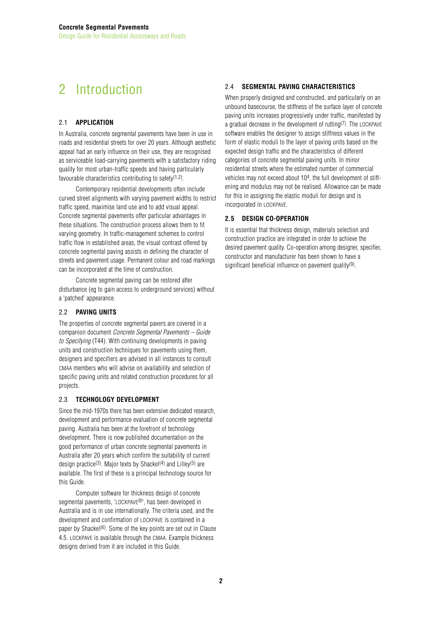# 2 Introduction

# 2.1 **APPLICATION**

In Australia, concrete segmental pavements have been in use in roads and residential streets for over 20 years. Although aesthetic appeal had an early influence on their use, they are recognised as serviceable load-carrying pavements with a satisfactory riding quality for most urban-traffic speeds and having particularly favourable characteristics contributing to safety $(1,2)$ .

Contemporary residential developments often include curved street alignments with varying pavement widths to restrict traffic speed, maximise land use and to add visual appeal. Concrete segmental pavements offer particular advantages in these situations. The construction process allows them to fit varying geometry. In traffic-management schemes to control traffic flow in established areas, the visual contrast offered by concrete segmental paving assists in defining the character of streets and pavement usage. Permanent colour and road markings can be incorporated at the time of construction.

Concrete segmental paving can be restored after disturbance (eg to gain access to underground services) without a 'patched' appearance.

# 2.2 **PAVING UNITS**

The properties of concrete segmental pavers are covered in a companion document *Concrete Segmental Pavements – Guide to Specifying* (T44). With continuing developments in paving units and construction techniques for pavements using them, designers and specifiers are advised in all instances to consult CMAA members who will advise on availability and selection of specific paving units and related construction procedures for all projects.

## 2.3 **TECHNOLOGY DEVELOPMENT**

Since the mid-1970s there has been extensive dedicated research, development and performance evaluation of concrete segmental paving. Australia has been at the forefront of technology development. There is now published documentation on the good performance of urban concrete segmental pavements in Australia after 20 years which confirm the suitability of current design practice<sup>(3)</sup>. Major texts by Shackel<sup>(4)</sup> and Lilley<sup>(5)</sup> are available. The first of these is a principal technology source for this Guide.

Computer software for thickness design of concrete segmental pavements, 'LOCKPAVE®', has been developed in Australia and is in use internationally. The criteria used, and the development and confirmation of LOCKPAVE is contained in a paper by Shackel $(6)$ . Some of the key points are set out in Clause 4.5. LOCKPAVE is available through the CMAA. Example thickness designs derived from it are included in this Guide.

# 2.4 **SEGMENTAL PAVING CHARACTERISTICS**

When properly designed and constructed, and particularly on an unbound basecourse, the stiffness of the surface layer of concrete paving units increases progressively under traffic, manifested by a gradual decrease in the development of rutting(7). The LOCKPAVE software enables the designer to assign stiffness values in the form of elastic moduli to the layer of paving units based on the expected design traffic and the characteristics of different categories of concrete segmental paving units. In minor residential streets where the estimated number of commercial vehicles may not exceed about 104, the full development of stiffening and modulus may not be realised. Allowance can be made for this in assigning the elastic moduli for design and is incorporated in LOCKPAVE.

# **2.5 DESIGN CO-OPERATION**

It is essential that thickness design, materials selection and construction practice are integrated in order to achieve the desired pavement quality. Co-operation among designer, specifier, constructor and manufacturer has been shown to have a significant beneficial influence on pavement quality<sup>(9)</sup>.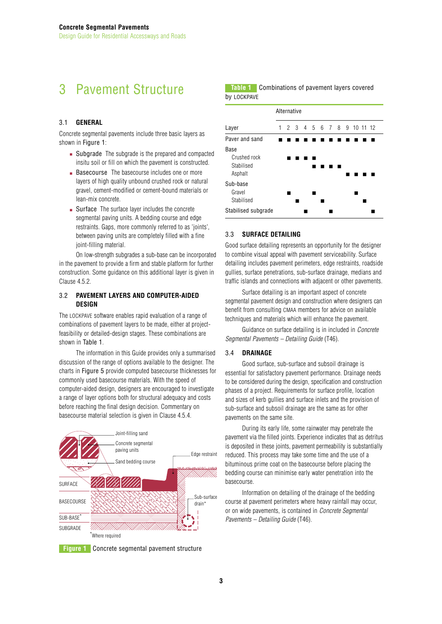# 3 Pavement Structure

## 3.1 **GENERAL**

Concrete segmental pavements include three basic layers as shown in Figure 1:

- Subgrade The subgrade is the prepared and compacted insitu soil or fill on which the pavement is constructed.
- Basecourse The basecourse includes one or more layers of high quality unbound crushed rock or natural gravel, cement-modified or cement-bound materials or lean-mix concrete.
- Surface The surface layer includes the concrete segmental paving units. A bedding course and edge restraints. Gaps, more commonly referred to as 'joints', between paving units are completely filled with a fine ioint-filling material.

On low-strength subgrades a sub-base can be incorporated in the pavement to provide a firm and stable platform for further construction. Some guidance on this additional layer is given in Clause 4.5.2.

## 3.2 **PAVEMENT LAYERS AND COMPUTER-AIDED DESIGN**

The LOCKPAVE software enables rapid evaluation of a range of combinations of pavement layers to be made, either at projectfeasibility or detailed-design stages. These combinations are shown in Table 1.

The information in this Guide provides only a summarised discussion of the range of options available to the designer. The charts in Figure 5 provide computed basecourse thicknesses for commonly used basecourse materials. With the speed of computer-aided design, designers are encouraged to investigate a range of layer options both for structural adequacy and costs before reaching the final design decision. Commentary on basecourse material selection is given in Clause 4.5.4.



**Figure 1** Concrete segmental pavement structure

**Table 1** Combinations of pavement layers covered by LOCKPAVE



# 3.3 **SURFACE DETAILING**

Good surface detailing represents an opportunity for the designer to combine visual appeal with pavement serviceability. Surface detailing includes pavement perimeters, edge restraints, roadside gullies, surface penetrations, sub-surface drainage, medians and traffic islands and connections with adjacent or other pavements.

Surface detailing is an important aspect of concrete segmental pavement design and construction where designers can benefit from consulting CMAA members for advice on available techniques and materials which will enhance the pavement.

Guidance on surface detailing is in included in *Concrete Segmental Pavements – Detailing Guide* (T46).

## 3.4 **DRAINAGE**

Good surface, sub-surface and subsoil drainage is essential for satisfactory pavement performance. Drainage needs to be considered during the design, specification and construction phases of a project. Requirements for surface profile, location and sizes of kerb gullies and surface inlets and the provision of sub-surface and subsoil drainage are the same as for other pavements on the same site.

During its early life, some rainwater may penetrate the pavement via the filled joints. Experience indicates that as detritus is deposited in these joints, pavement permeability is substantially reduced. This process may take some time and the use of a bituminous prime coat on the basecourse before placing the bedding course can minimise early water penetration into the basecourse.

Information on detailing of the drainage of the bedding course at pavement perimeters where heavy rainfall may occur, or on wide pavements, is contained in *Concrete Segmental Pavements – Detailing Guide* (T46).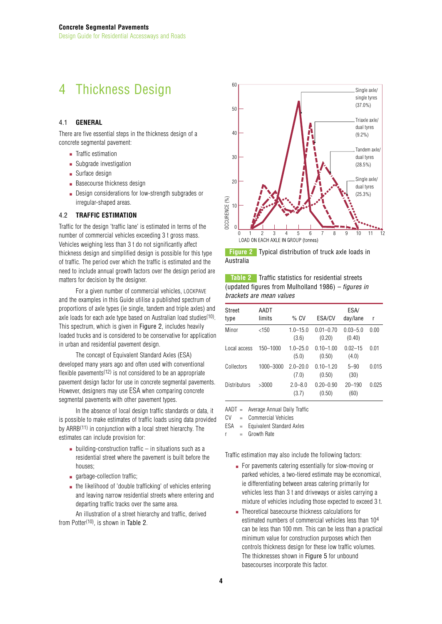# 4 Thickness Design

#### 4.1 **GENERAL**

There are five essential steps in the thickness design of a concrete segmental pavement:

- Traffic estimation
- Subgrade investigation
- Surface design
- Basecourse thickness design
- Design considerations for low-strength subgrades or irregular-shaped areas.

# 4.2 **TRAFFIC ESTIMATION**

Traffic for the design 'traffic lane' is estimated in terms of the number of commercial vehicles exceeding 3 t gross mass. Vehicles weighing less than 3 t do not significantly affect thickness design and simplified design is possible for this type of traffic. The period over which the traffic is estimated and the need to include annual growth factors over the design period are matters for decision by the designer.

For a given number of commercial vehicles, LOCKPAVE and the examples in this Guide utilise a published spectrum of proportions of axle types (ie single, tandem and triple axles) and axle loads for each axle type based on Australian load studies(10). This spectrum, which is given in Figure 2, includes heavily loaded trucks and is considered to be conservative for application in urban and residential pavement design.

The concept of Equivalent Standard Axles (ESA) developed many years ago and often used with conventional flexible pavements<sup> $(12)$ </sup> is not considered to be an appropriate pavement design factor for use in concrete segmental pavements. However, designers may use ESA when comparing concrete segmental pavements with other pavement types.

In the absence of local design traffic standards or data, it is possible to make estimates of traffic loads using data provided by ARRB(11) in conjunction with a local street hierarchy. The estimates can include provision for:

- $\blacksquare$  building-construction traffic in situations such as a residential street where the pavement is built before the houses;
- garbage-collection traffic;
- the likelihood of 'double trafficking' of vehicles entering and leaving narrow residential streets where entering and departing traffic tracks over the same area.

An illustration of a street hierarchy and traffic, derived from Potter(10), is shown in Table 2.



**Figure 2** Typical distribution of truck axle loads in Australia

**Table 2** Traffic statistics for residential streets (updated figures from Mulholland 1986) *– figures in brackets are mean values*

| Street<br>type | AADT<br>limits | $%$ CV                | ESA/CV                  | ESA/<br>day/lane       | r     |
|----------------|----------------|-----------------------|-------------------------|------------------------|-------|
| Minor          | <150           | $1.0 - 15.0$<br>(3.6) | $0.01 - 0.70$<br>(0.20) | $0.03 - 5.0$<br>(0.40) | 0.00  |
| Local access   | 150-1000       | $1.0 - 25.0$<br>(5.0) | $0.10 - 1.00$<br>(0.50) | $0.02 - 15$<br>(4.0)   | 0.01  |
| Collectors     | 1000-3000      | $20 - 200$<br>(7.0)   | $010 - 120$<br>(0.50)   | $5 - 90$<br>(30)       | 0.015 |
| Distributors   | >3000          | $2.0 - 8.0$<br>(3.7)  | $0.20 - 0.90$<br>(0.50) | $20 - 190$<br>(60)     | 0.025 |

AADT = Average Annual Daily Traffic

CV = Commercial Vehicles

ESA = Equivalent Standard Axles

 $r =$ Growth Rate

Traffic estimation may also include the following factors:

- For pavements catering essentially for slow-moving or parked vehicles, a two-tiered estimate may be economical, ie differentiating between areas catering primarily for vehicles less than 3 t and driveways or aisles carrying a mixture of vehicles including those expected to exceed 3 t.
- Theoretical basecourse thickness calculations for estimated numbers of commercial vehicles less than 104 can be less than 100 mm. This can be less than a practical minimum value for construction purposes which then controls thickness design for these low traffic volumes. The thicknesses shown in Figure 5 for unbound basecourses incorporate this factor.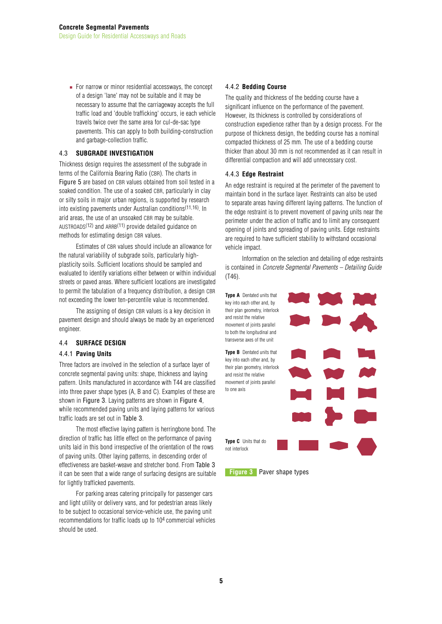■ For narrow or minor residential accessways, the concept of a design 'lane' may not be suitable and it may be necessary to assume that the carriageway accepts the full traffic load and 'double trafficking' occurs, ie each vehicle travels twice over the same area for cul-de-sac type pavements. This can apply to both building-construction and garbage-collection traffic.

## 4.3 **SUBGRADE INVESTIGATION**

Thickness design requires the assessment of the subgrade in terms of the California Bearing Ratio (CBR). The charts in Figure 5 are based on CBR values obtained from soil tested in a soaked condition. The use of a soaked CBR, particularly in clay or silty soils in major urban regions, is supported by research into existing pavements under Australian conditions(11,16). In arid areas, the use of an unsoaked CBR may be suitable. AUSTROADS(12) and ARRB(11) provide detailed guidance on methods for estimating design CBR values.

Estimates of CBR values should include an allowance for the natural variability of subgrade soils, particularly highplasticity soils. Sufficient locations should be sampled and evaluated to identify variations either between or within individual streets or paved areas. Where sufficient locations are investigated to permit the tabulation of a frequency distribution, a design CBR not exceeding the lower ten-percentile value is recommended.

The assigning of design CBR values is a key decision in pavement design and should always be made by an experienced engineer.

## 4.4 **SURFACE DESIGN**

## 4.4.1 **Paving Units**

Three factors are involved in the selection of a surface layer of concrete segmental paving units: shape, thickness and laying pattern. Units manufactured in accordance with T44 are classified into three paver shape types (A, B and C). Examples of these are shown in Figure 3. Laying patterns are shown in Figure 4, while recommended paving units and laying patterns for various traffic loads are set out in Table 3.

The most effective laying pattern is herringbone bond. The direction of traffic has little effect on the performance of paving units laid in this bond irrespective of the orientation of the rows of paving units. Other laying patterns, in descending order of effectiveness are basket-weave and stretcher bond. From Table 3 it can be seen that a wide range of surfacing designs are suitable for lightly trafficked pavements.

For parking areas catering principally for passenger cars and light utility or delivery vans, and for pedestrian areas likely to be subject to occasional service-vehicle use, the paving unit recommendations for traffic loads up to 104 commercial vehicles should be used.

## 4.4.2 **Bedding Course**

The quality and thickness of the bedding course have a significant influence on the performance of the pavement. However, its thickness is controlled by considerations of construction expedience rather than by a design process. For the purpose of thickness design, the bedding course has a nominal compacted thickness of 25 mm. The use of a bedding course thicker than about 30 mm is not recommended as it can result in differential compaction and will add unnecessary cost.

## 4.4.3 **Edge Restraint**

An edge restraint is required at the perimeter of the pavement to maintain bond in the surface layer. Restraints can also be used to separate areas having different laying patterns. The function of the edge restraint is to prevent movement of paving units near the perimeter under the action of traffic and to limit any consequent opening of joints and spreading of paving units. Edge restraints are required to have sufficient stability to withstand occasional vehicle impact.

Information on the selection and detailing of edge restraints is contained in *Concrete Segmental Pavements – Detailing Guide* (T46).

**Type A** Dentated units that key into each other and, by their plan geometry, interlock and resist the relative movement of joints parallel to both the longitudinal and transverse axes of the unit

**Type B** Dentated units that key into each other and, by their plan geometry, interlock and resist the relative movement of joints parallel to one axis

not interlock

**Type C** Units that do

**Figure 3** Paver shape types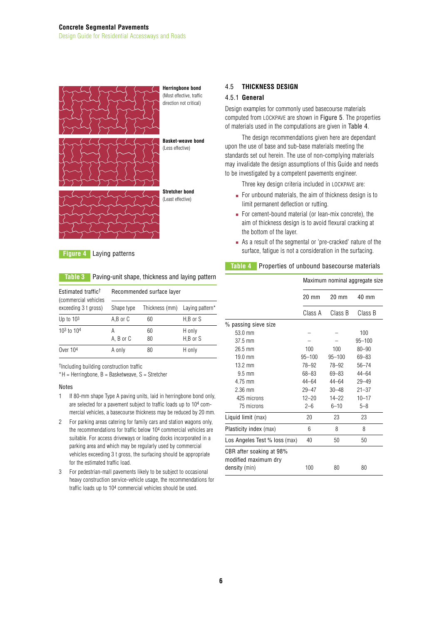

**Figure 4** Laying patterns

## **Table 3** Paving-unit shape, thickness and laying pattern

| Estimated traffic <sup>†</sup><br>(commercial vehicles | Recommended surface layer |                |                    |  |
|--------------------------------------------------------|---------------------------|----------------|--------------------|--|
| exceeding 3 t gross)                                   | Shape type                | Thickness (mm) | Laying pattern*    |  |
| Up to $103$                                            | A,B or C                  | 60             | H,B or S           |  |
| 103 to 104                                             | А<br>A, B or C            | 60<br>80       | H only<br>H,B or S |  |
| Over 104                                               | A only                    | 80             | H only             |  |

†Including building construction traffic

 $*H$  = Herringbone, B = Basketweave, S = Stretcher

#### Notes

- 1 If 80-mm shape Type A paving units, laid in herringbone bond only, are selected for a pavement subject to traffic loads up to 104 commercial vehicles, a basecourse thickness may be reduced by 20 mm.
- 2 For parking areas catering for family cars and station wagons only, the recommendations for traffic below 104 commercial vehicles are suitable. For access driveways or loading docks incorporated in a parking area and which may be regularly used by commercial vehicles exceeding 3 t gross, the surfacing should be appropriate for the estimated traffic load.
- 3 For pedestrian-mall pavements likely to be subject to occasional heavy construction service-vehicle usage, the recommendations for traffic loads up to 104 commercial vehicles should be used.

# 4.5 **THICKNESS DESIGN**

#### 4.5.1 **General**

Design examples for commonly used basecourse materials computed from LOCKPAVE are shown in Figure 5. The properties of materials used in the computations are given in Table 4.

The design recommendations given here are dependant upon the use of base and sub-base materials meeting the standards set out herein. The use of non-complying materials may invalidate the design assumptions of this Guide and needs to be investigated by a competent pavements engineer.

Three key design criteria included in LOCKPAVE are:

- For unbound materials, the aim of thickness design is to limit permanent deflection or rutting.
- For cement-bound material (or lean-mix concrete), the aim of thickness design is to avoid flexural cracking at the bottom of the layer.
- As a result of the segmental or 'pre-cracked' nature of the surface, fatigue is not a consideration in the surfacing.

#### **Table 4** Properties of unbound basecourse materials

|                                                                   | Maximum nominal aggregate size |                 |                 |
|-------------------------------------------------------------------|--------------------------------|-----------------|-----------------|
|                                                                   | $20 \text{ mm}$                | $20 \text{ mm}$ | $40 \text{ mm}$ |
|                                                                   | Class A                        | Class B         | Class B         |
| % passing sieve size                                              |                                |                 |                 |
| $53.0 \text{ mm}$                                                 |                                |                 | 100             |
| $37.5 \text{ mm}$                                                 |                                |                 | $95 - 100$      |
| $26.5$ mm                                                         | 100                            | 100             | $80 - 90$       |
| $19.0 \text{ mm}$                                                 | $95 - 100$                     | $95 - 100$      | 69-83           |
| $13.2 \text{ mm}$                                                 | 78-92                          | 78-92           | $56 - 74$       |
| $9.5 \text{ mm}$                                                  | 68-83                          | $69 - 83$       | $44 - 64$       |
| 4.75 mm                                                           | $44 - 64$                      | $44 - 64$       | $29 - 49$       |
| $2.36$ mm                                                         | $29 - 47$                      | $30 - 48$       | $21 - 37$       |
| 425 microns                                                       | $12 - 20$                      | $14 - 22$       | $10 - 17$       |
| 75 microns                                                        | $2 - 6$                        | $6 - 10$        | $5 - 8$         |
| Liquid limit (max)                                                | 20                             | 23              | 23              |
| Plasticity index (max)                                            | 6                              | 8               | 8               |
| Los Angeles Test % loss (max)                                     | 40                             | 50              | 50              |
| CBR after soaking at 98%<br>modified maximum dry<br>density (min) | 100                            | 80              | 80              |
|                                                                   |                                |                 |                 |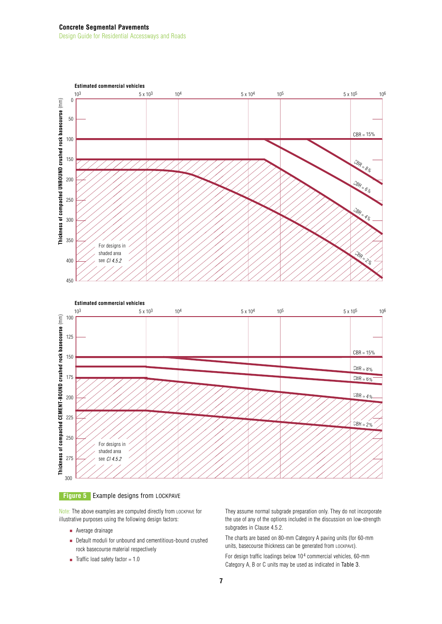#### **Concrete Segmental Pavements** Design Guide for Residential Accessways and Roads





Note: The above examples are computed directly from LOCKPAVE for illustrative purposes using the following design factors:

- Average drainage
- Default moduli for unbound and cementitious-bound crushed rock basecourse material respectively
- Traffic load safety factor = 1.0

They assume normal subgrade preparation only. They do not incorporate the use of any of the options included in the discussion on low-strength subgrades in Clause 4.5.2.

The charts are based on 80-mm Category A paving units (for 60-mm units, basecourse thickness can be generated from LOCKPAVE). For design traffic loadings below 104 commercial vehicles, 60-mm Category A, B or C units may be used as indicated in Table 3.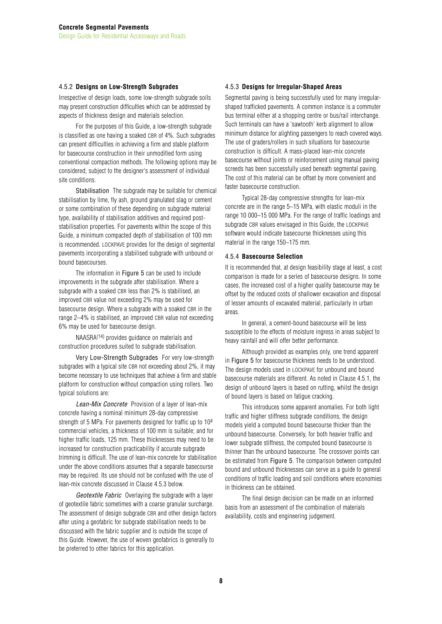#### 4.5.2 **Designs on Low-Strength Subgrades**

Irrespective of design loads, some low-strength subgrade soils may present construction difficulties which can be addressed by aspects of thickness design and materials selection.

For the purposes of this Guide, a low-strength subgrade is classified as one having a soaked CBR of 4%. Such subgrades can present difficulties in achieving a firm and stable platform for basecourse construction in their unmodified form using conventional compaction methods. The following options may be considered, subject to the designer's assessment of individual site conditions.

Stabilisation The subgrade may be suitable for chemical stabilisation by lime, fly ash, ground granulated slag or cement or some combination of these depending on subgrade material type, availability of stabilisation additives and required poststabilisation properties. For pavements within the scope of this Guide, a minimum compacted depth of stabilisation of 100 mm is recommended. LOCKPAVE provides for the design of segmental pavements incorporating a stabilised subgrade with unbound or bound basecourses.

The information in Figure 5 can be used to include improvements in the subgrade after stabilisation. Where a subgrade with a soaked CBR less than 2% is stabilised, an improved CBR value not exceeding 2% may be used for basecourse design. Where a subgrade with a soaked CBR in the range 2–4% is stabilised, an improved CBR value not exceeding 6% may be used for basecourse design.

NAASRA(14) provides guidance on materials and construction procedures suited to subgrade stabilisation.

Very Low-Strength Subgrades For very low-strength subgrades with a typical site CBR not exceeding about 2%, it may become necessary to use techniques that achieve a firm and stable platform for construction without compaction using rollers. Two typical solutions are:

*Lean-Mix Concrete* Provision of a layer of lean-mix concrete having a nominal minimum 28-day compressive strength of 5 MPa. For pavements designed for traffic up to 104 commercial vehicles, a thickness of 100 mm is suitable; and for higher traffic loads, 125 mm. These thicknesses may need to be increased for construction practicability if accurate subgrade trimming is difficult. The use of lean-mix concrete for stabilisation under the above conditions assumes that a separate basecourse may be required. Its use should not be confused with the use of lean-mix concrete discussed in Clause 4.5.3 below.

*Geotextile Fabric* Overlaying the subgrade with a layer of geotextile fabric sometimes with a coarse granular surcharge. The assessment of design subgrade CBR and other design factors after using a geofabric for subgrade stabilisation needs to be discussed with the fabric supplier and is outside the scope of this Guide. However, the use of woven geofabrics is generally to be preferred to other fabrics for this application.

#### 4.5.3 **Designs for Irregular-Shaped Areas**

Segmental paving is being successfully used for many irregularshaped trafficked pavements. A common instance is a commuter bus terminal either at a shopping centre or bus/rail interchange. Such terminals can have a 'sawtooth' kerb alignment to allow minimum distance for alighting passengers to reach covered ways. The use of graders/rollers in such situations for basecourse construction is difficult. A mass-placed lean-mix concrete basecourse without joints or reinforcement using manual paving screeds has been successfully used beneath segmental paving. The cost of this material can be offset by more convenient and faster basecourse construction.

Typical 28-day compressive strengths for lean-mix concrete are in the range 5–15 MPa, with elastic moduli in the range 10 000–15 000 MPa. For the range of traffic loadings and subgrade CBR values envisaged in this Guide, the LOCKPAVE software would indicate basecourse thicknesses using this material in the range 150–175 mm.

#### 4.5.4 **Basecourse Selection**

It is recommended that, at design feasibility stage at least, a cost comparison is made for a series of basecourse designs. In some cases, the increased cost of a higher quality basecourse may be offset by the reduced costs of shallower excavation and disposal of lesser amounts of excavated material, particularly in urban areas.

In general, a cement-bound basecourse will be less susceptible to the effects of moisture ingress in areas subject to heavy rainfall and will offer better performance.

Although provided as examples only, one trend apparent in Figure 5 for basecourse thickness needs to be understood. The design models used in LOCKPAVE for unbound and bound basecourse materials are different. As noted in Clause 4.5.1, the design of unbound layers is based on rutting, whilst the design of bound layers is based on fatigue cracking.

This introduces some apparent anomalies. For both light traffic and higher stiffness subgrade conditions, the design models yield a computed bound basecourse thicker than the unbound basecourse. Conversely, for both heavier traffic and lower subgrade stiffness, the computed bound basecourse is thinner than the unbound basecourse. The crossover points can be estimated from Figure 5. The comparison between computed bound and unbound thicknesses can serve as a guide to general conditions of traffic loading and soil conditions where economies in thickness can be obtained.

The final design decision can be made on an informed basis from an assessment of the combination of materials availability, costs and engineering judgement.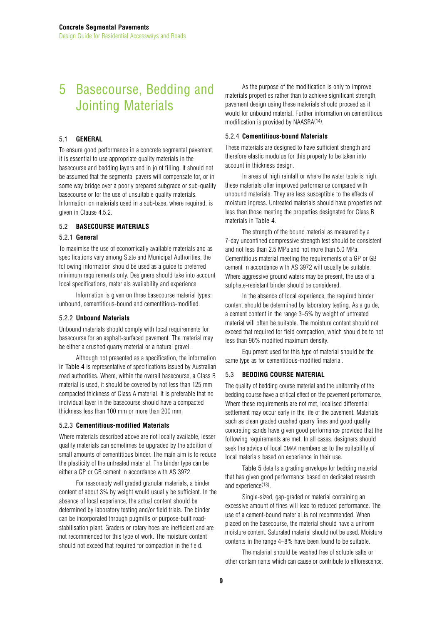# 5 Basecourse, Bedding and Jointing Materials

#### 5.1 **GENERAL**

To ensure good performance in a concrete segmental pavement, it is essential to use appropriate quality materials in the basecourse and bedding layers and in joint filling. It should not be assumed that the segmental pavers will compensate for, or in some way bridge over a poorly prepared subgrade or sub-quality basecourse or for the use of unsuitable quality materials. Information on materials used in a sub-base, where required, is given in Clause 4.5.2.

#### 5.2 **BASECOURSE MATERIALS**

#### 5.2.1 **General**

To maximise the use of economically available materials and as specifications vary among State and Municipal Authorities, the following information should be used as a guide to preferred minimum requirements only. Designers should take into account local specifications, materials availability and experience.

Information is given on three basecourse material types: unbound, cementitious-bound and cementitious-modified.

#### 5.2.2 **Unbound Materials**

Unbound materials should comply with local requirements for basecourse for an asphalt-surfaced pavement. The material may be either a crushed quarry material or a natural gravel.

Although not presented as a specification, the information in Table 4 is representative of specifications issued by Australian road authorities. Where, within the overall basecourse, a Class B material is used, it should be covered by not less than 125 mm compacted thickness of Class A material. It is preferable that no individual layer in the basecourse should have a compacted thickness less than 100 mm or more than 200 mm.

#### 5.2.3 **Cementitious-modified Materials**

Where materials described above are not locally available, lesser quality materials can sometimes be upgraded by the addition of small amounts of cementitious binder. The main aim is to reduce the plasticity of the untreated material. The binder type can be either a GP or GB cement in accordance with AS 3972.

For reasonably well graded granular materials, a binder content of about 3% by weight would usually be sufficient. In the absence of local experience, the actual content should be determined by laboratory testing and/or field trials. The binder can be incorporated through pugmills or purpose-built roadstabilisation plant. Graders or rotary hoes are inefficient and are not recommended for this type of work. The moisture content should not exceed that required for compaction in the field.

As the purpose of the modification is only to improve materials properties rather than to achieve significant strength, pavement design using these materials should proceed as it would for unbound material. Further information on cementitious modification is provided by NAASRA(14).

#### 5.2.4 **Cementitious-bound Materials**

These materials are designed to have sufficient strength and therefore elastic modulus for this property to be taken into account in thickness design.

In areas of high rainfall or where the water table is high, these materials offer improved performance compared with unbound materials. They are less susceptible to the effects of moisture ingress. Untreated materials should have properties not less than those meeting the properties designated for Class B materials in Table 4.

The strength of the bound material as measured by a 7-day unconfined compressive strength test should be consistent and not less than 2.5 MPa and not more than 5.0 MPa. Cementitious material meeting the requirements of a GP or GB cement in accordance with AS 3972 will usually be suitable. Where aggressive ground waters may be present, the use of a sulphate-resistant binder should be considered.

In the absence of local experience, the required binder content should be determined by laboratory testing. As a guide, a cement content in the range 3–5% by weight of untreated material will often be suitable. The moisture content should not exceed that required for field compaction, which should be to not less than 96% modified maximum density.

Equipment used for this type of material should be the same type as for cementitious-modified material.

#### 5.3 **BEDDING COURSE MATERIAL**

The quality of bedding course material and the uniformity of the bedding course have a critical effect on the pavement performance. Where these requirements are not met, localised differential settlement may occur early in the life of the pavement. Materials such as clean graded crushed quarry fines and good quality concreting sands have given good performance provided that the following requirements are met. In all cases, designers should seek the advice of local CMAA members as to the suitability of local materials based on experience in their use.

Table 5 details a grading envelope for bedding material that has given good performance based on dedicated research and experience(13).

Single-sized, gap-graded or material containing an excessive amount of fines will lead to reduced performance. The use of a cement-bound material is not recommended. When placed on the basecourse, the material should have a uniform moisture content. Saturated material should not be used. Moisture contents in the range 4–8% have been found to be suitable.

The material should be washed free of soluble salts or other contaminants which can cause or contribute to efflorescence.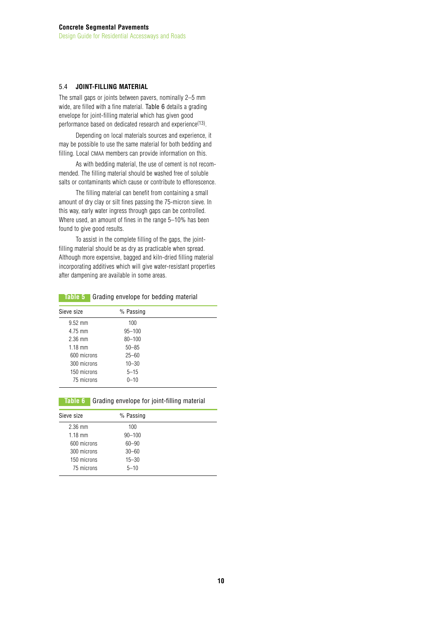# 5.4 **JOINT-FILLING MATERIAL**

The small gaps or joints between pavers, nominally 2–5 mm wide, are filled with a fine material. Table 6 details a grading envelope for joint-filling material which has given good performance based on dedicated research and experience(13).

Depending on local materials sources and experience, it may be possible to use the same material for both bedding and filling. Local CMAA members can provide information on this.

As with bedding material, the use of cement is not recommended. The filling material should be washed free of soluble salts or contaminants which cause or contribute to efflorescence.

The filling material can benefit from containing a small amount of dry clay or silt fines passing the 75-micron sieve. In this way, early water ingress through gaps can be controlled. Where used, an amount of fines in the range 5–10% has been found to give good results.

To assist in the complete filling of the gaps, the jointfilling material should be as dry as practicable when spread. Although more expensive, bagged and kiln-dried filling material incorporating additives which will give water-resistant properties after dampening are available in some areas.

#### **Table 5** Grading envelope for bedding material

| Sieve size  | % Passing  |  |
|-------------|------------|--|
| $9.52$ mm   | 100        |  |
| 4.75 mm     | $95 - 100$ |  |
| $2.36$ mm   | $80 - 100$ |  |
| $1.18$ mm   | $50 - 85$  |  |
| 600 microns | $25 - 60$  |  |
| 300 microns | $10 - 30$  |  |
| 150 microns | $5 - 15$   |  |
| 75 microns  | $0 - 10$   |  |

#### **Table 6** Grading envelope for joint-filling material

| Sieve size        | % Passing  |  |
|-------------------|------------|--|
| $2.36$ mm         | 100        |  |
| $1.18 \text{ mm}$ | $90 - 100$ |  |
| 600 microns       | $60 - 90$  |  |
| 300 microns       | $30 - 60$  |  |
| 150 microns       | $15 - 30$  |  |
| 75 microns        | $5 - 10$   |  |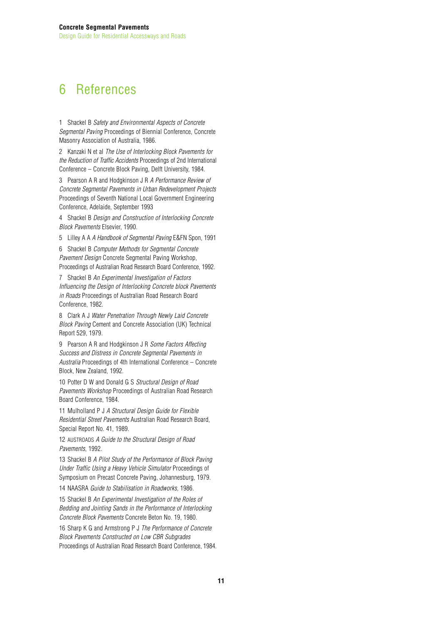# 6 References

1 Shackel B *Safety and Environmental Aspects of Concrete Segmental Paving* Proceedings of Biennial Conference, Concrete Masonry Association of Australia, 1986.

2 Kanzaki N et al *The Use of Interlocking Block Pavements for the Reduction of Traffic Accidents* Proceedings of 2nd International Conference – Concrete Block Paving, Delft University, 1984.

3 Pearson A R and Hodgkinson J R *A Performance Review of Concrete Segmental Pavements in Urban Redevelopment Projects* Proceedings of Seventh National Local Government Engineering Conference, Adelaide, September 1993

4 Shackel B *Design and Construction of Interlocking Concrete Block Pavements* Elsevier, 1990.

5 Lilley A A *A Handbook of Segmental Paving* E&FN Spon, 1991

6 Shackel B *Computer Methods for Segmental Concrete Pavement Design* Concrete Segmental Paving Workshop, Proceedings of Australian Road Research Board Conference, 1992.

7 Shackel B *An Experimental Investigation of Factors Influencing the Design of Interlocking Concrete block Pavements in Roads* Proceedings of Australian Road Research Board Conference, 1982.

8 Clark A J *Water Penetration Through Newly Laid Concrete Block Paving* Cement and Concrete Association (UK) Technical Report 529, 1979.

9 Pearson A R and Hodgkinson J R *Some Factors Affecting Success and Distress in Concrete Segmental Pavements in Australia* Proceedings of 4th International Conference – Concrete Block, New Zealand, 1992.

10 Potter D W and Donald G S *Structural Design of Road Pavements Workshop* Proceedings of Australian Road Research Board Conference, 1984.

11 Mulholland P J *A Structural Design Guide for Flexible Residential Street Pavements* Australian Road Research Board, Special Report No. 41, 1989.

12 AUSTROADS *A Guide to the Structural Design of Road Pavements*, 1992.

13 Shackel B *A Pilot Study of the Performance of Block Paving Under Traffic Using a Heavy Vehicle Simulator* Proceedings of Symposium on Precast Concrete Paving, Johannesburg, 1979.

14 NAASRA *Guide to Stabilisation in Roadworks,* 1986.

15 Shackel B *An Experimental Investigation of the Roles of Bedding and Jointing Sands in the Performance of Interlocking Concrete Block Pavements* Concrete Beton No. 19, 1980.

16 Sharp K G and Armstrong P J *The Performance of Concrete Block Pavements Constructed on Low CBR Subgrades* Proceedings of Australian Road Research Board Conference, 1984.